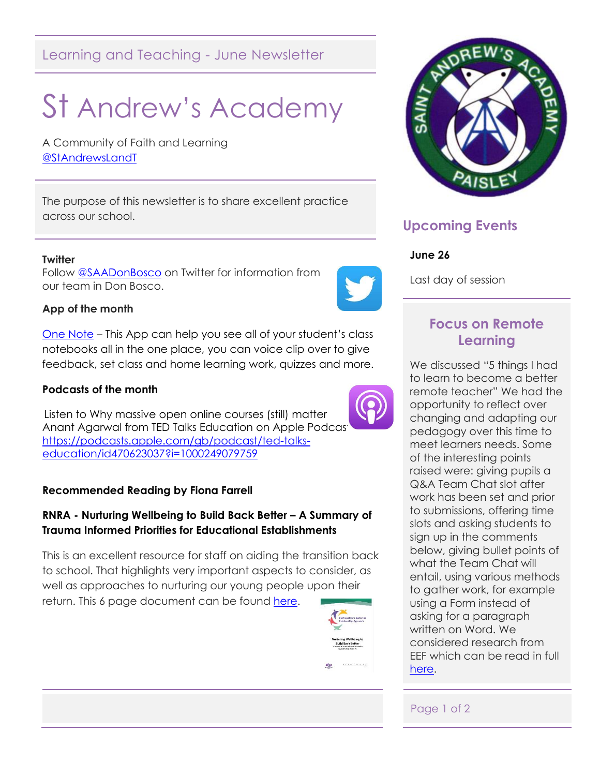# Learning and Teaching - June Newsletter

# St Andrew's Academy

A Community of Faith and Learning [@StAndrewsLandT](https://twitter.com/StAndrewsLandT)

The purpose of this newsletter is to share excellent practice across our school.

#### **Twitter**

Follow [@SAADonBosco](https://twitter.com/SAADonBosco) on Twitter for information from our team in Don Bosco.

## **App of the month**

[One Note](https://apps.apple.com/gb/app/microsoft-onenote/id410395246) – This App can help you see all of your student's class notebooks all in the one place, you can voice clip over to give feedback, set class and home learning work, quizzes and more.

#### **Podcasts of the month**

 Listen to Why massive open online courses (still) matter Anant Agarwal from TED Talks Education on Apple Podcast [https://podcasts.apple.com/gb/podcast/ted-talks](https://podcasts.apple.com/gb/podcast/ted-talks-education/id470623037?i=1000249079759)[education/id470623037?i=1000249079759](https://podcasts.apple.com/gb/podcast/ted-talks-education/id470623037?i=1000249079759)

#### **Recommended Reading by Fiona Farrell**

## **RNRA - Nurturing Wellbeing to Build Back Better – A Summary of Trauma Informed Priorities for Educational Establishments**

This is an excellent resource for staff on aiding the transition back to school. That highlights very important aspects to consider, as well as approaches to nurturing our young people upon their return. This 6 page document can be found [here.](https://blogs.glowscotland.org.uk/re/public/renfrewshireedpsych/uploads/sites/2916/2020/06/04145105/Nurturing-Wellbeing-to-Build-Back-Better-A-Summary-of-Trauma-Informed-priorities.pdf)





# **Upcoming Events**

#### **June 26**

Last day of session

# **Focus on Remote Learning**

We discussed "5 things I had to learn to become a better remote teacher" We had the opportunity to reflect over changing and adapting our pedagogy over this time to meet learners needs. Some of the interesting points raised were: giving pupils a Q&A Team Chat slot after work has been set and prior to submissions, offering time slots and asking students to sign up in the comments below, giving bullet points of what the Team Chat will entail, using various methods to gather work, for example using a Form instead of asking for a paragraph written on Word. We considered research from EEF which can be read in full [here.](https://educationendowmentfoundation.org.uk/covid-19-resources/best-evidence-on-supporting-students-to-learn-remotely/)

#### Page 1 of 2